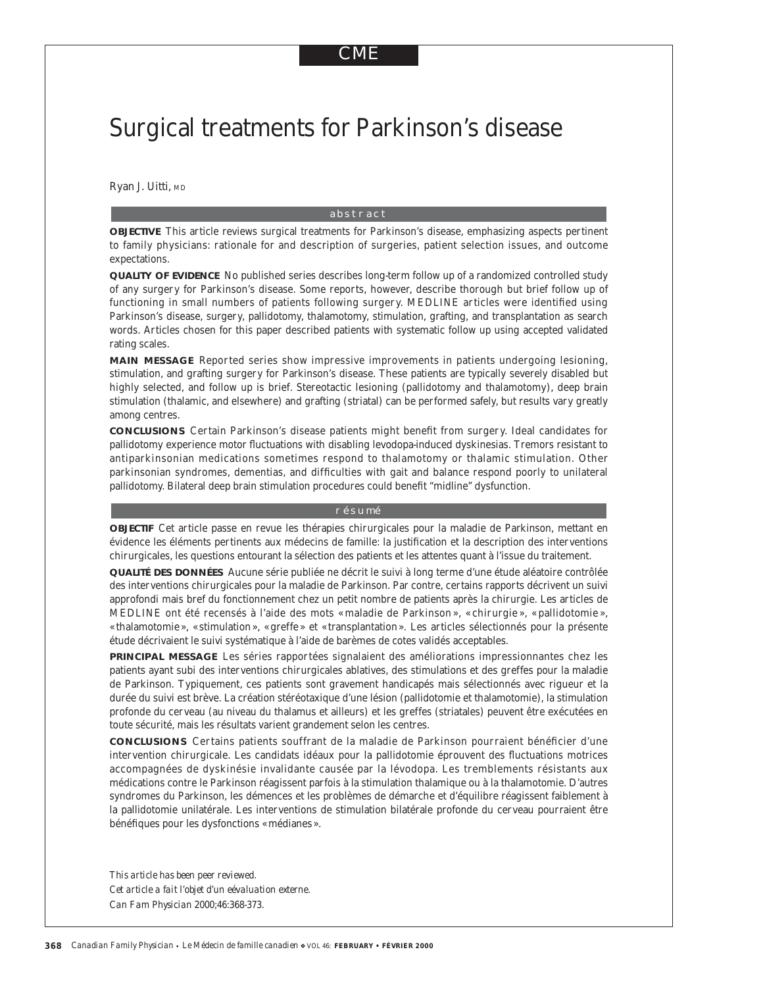# Surgical treatments for Parkinson's disease

Ryan J. Uitti, MD

#### abstract

**OBJECTIVE** This article reviews surgical treatments for Parkinson's disease, emphasizing aspects pertinent to family physicians: rationale for and description of surgeries, patient selection issues, and outcome expectations.

**QUALITY OF EVIDENCE** No published series describes long-term follow up of a randomized controlled study of any surgery for Parkinson's disease. Some reports, however, describe thorough but brief follow up of functioning in small numbers of patients following surgery. MEDLINE articles were identified using Parkinson's disease, surgery, pallidotomy, thalamotomy, stimulation, grafting, and transplantation as search words. Articles chosen for this paper described patients with systematic follow up using accepted validated rating scales.

**MAIN MESSAGE** Reported series show impressive improvements in patients undergoing lesioning, stimulation, and grafting surgery for Parkinson's disease. These patients are typically severely disabled but highly selected, and follow up is brief. Stereotactic lesioning (pallidotomy and thalamotomy), deep brain stimulation (thalamic, and elsewhere) and grafting (striatal) can be performed safely, but results vary greatly among centres.

**CONCLUSIONS** Certain Parkinson's disease patients might benefit from surgery. Ideal candidates for pallidotomy experience motor fluctuations with disabling levodopa-induced dyskinesias. Tremors resistant to antiparkinsonian medications sometimes respond to thalamotomy or thalamic stimulation. Other parkinsonian syndromes, dementias, and difficulties with gait and balance respond poorly to unilateral pallidotomy. Bilateral deep brain stimulation procedures could benefit "midline" dysfunction.

#### résumé

**OBJECTIF** Cet article passe en revue les thérapies chirurgicales pour la maladie de Parkinson, mettant en évidence les éléments pertinents aux médecins de famille: la justification et la description des interventions chirurgicales, les questions entourant la sélection des patients et les attentes quant à l'issue du traitement.

**QUALITÉ DES DONNÉES** Aucune série publiée ne décrit le suivi à long terme d'une étude aléatoire contrôlée des interventions chirurgicales pour la maladie de Parkinson. Par contre, certains rapports décrivent un suivi approfondi mais bref du fonctionnement chez un petit nombre de patients après la chirurgie. Les articles de MEDLINE ont été recensés à l'aide des mots « maladie de Parkinson », « chirurgie », « pallidotomie », « thalamotomie », « stimulation », « greffe » et « transplantation ». Les articles sélectionnés pour la présente étude décrivaient le suivi systématique à l'aide de barèmes de cotes validés acceptables.

**PRINCIPAL MESSAGE** Les séries rapportées signalaient des améliorations impressionnantes chez les patients ayant subi des interventions chirurgicales ablatives, des stimulations et des greffes pour la maladie de Parkinson. Typiquement, ces patients sont gravement handicapés mais sélectionnés avec rigueur et la durée du suivi est brève. La création stéréotaxique d'une lésion (pallidotomie et thalamotomie), la stimulation profonde du cerveau (au niveau du thalamus et ailleurs) et les greffes (striatales) peuvent être exécutées en toute sécurité, mais les résultats varient grandement selon les centres.

**CONCLUSIONS** Certains patients souffrant de la maladie de Parkinson pourraient bénéficier d'une intervention chirurgicale. Les candidats idéaux pour la pallidotomie éprouvent des fluctuations motrices accompagnées de dyskinésie invalidante causée par la lévodopa. Les tremblements résistants aux médications contre le Parkinson réagissent parfois à la stimulation thalamique ou à la thalamotomie. D'autres syndromes du Parkinson, les démences et les problèmes de démarche et d'équilibre réagissent faiblement à la pallidotomie unilatérale. Les interventions de stimulation bilatérale profonde du cerveau pourraient être bénéfiques pour les dysfonctions « médianes ».

*This article has been peer reviewed. Cet article a fait l'objet d'un eévaluation externe. Can Fam Physician* 2000;46:368-373.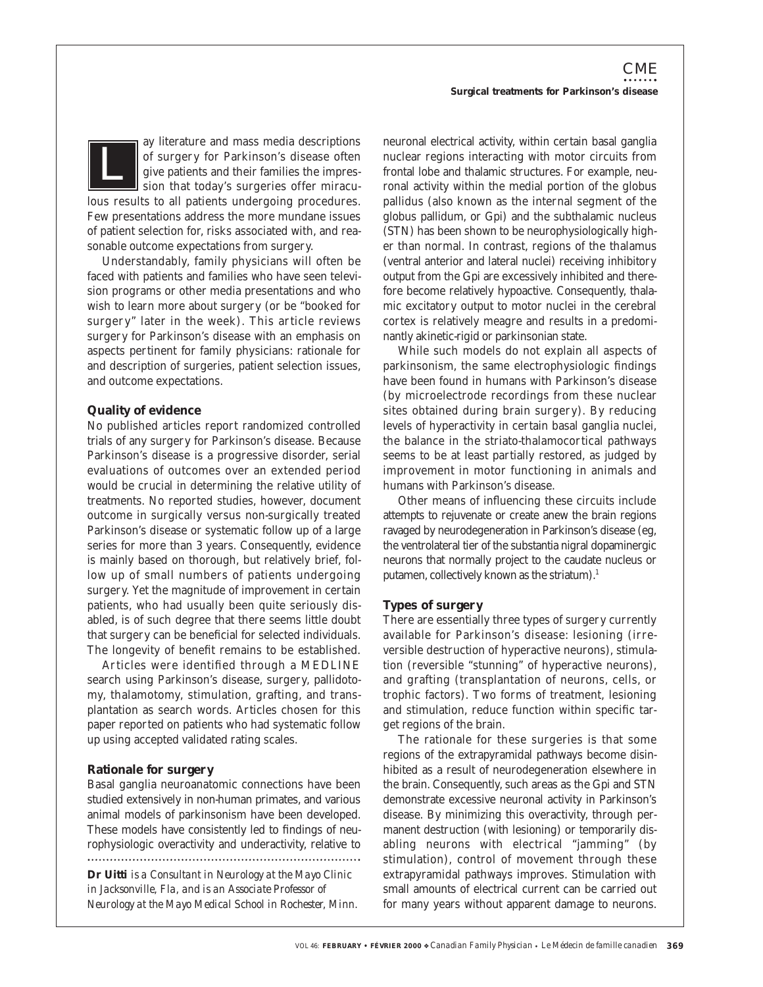ay literature and mass media descriptions of surgery for Parkinson's disease often give patients and their families the impression that today's surgeries offer miraculous results to all patients undergoing procedures. Few presentations address the more mundane issues of patient selection for, risks associated with, and reasonable outcome expectations from surgery. *L*

Understandably, family physicians will often be faced with patients and families who have seen television programs or other media presentations and who wish to learn more about surgery (or be "booked for surgery" later in the week). This article reviews surgery for Parkinson's disease with an emphasis on aspects pertinent for family physicians: rationale for and description of surgeries, patient selection issues, and outcome expectations.

### **Quality of evidence**

No published articles report randomized controlled trials of any surgery for Parkinson's disease. Because Parkinson's disease is a progressive disorder, serial evaluations of outcomes over an extended period would be crucial in determining the relative utility of treatments. No reported studies, however, document outcome in surgically versus non-surgically treated Parkinson's disease or systematic follow up of a large series for more than 3 years. Consequently, evidence is mainly based on thorough, but relatively brief, follow up of small numbers of patients undergoing surgery. Yet the magnitude of improvement in certain patients, who had usually been quite seriously disabled, is of such degree that there seems little doubt that surgery can be beneficial for selected individuals. The longevity of benefit remains to be established.

Articles were identified through a MEDLINE search using Parkinson's disease, surgery, pallidotomy, thalamotomy, stimulation, grafting, and transplantation as search words. Articles chosen for this paper reported on patients who had systematic follow up using accepted validated rating scales.

#### **Rationale for surgery**

Basal ganglia neuroanatomic connections have been studied extensively in non-human primates, and various animal models of parkinsonism have been developed. These models have consistently led to findings of neurophysiologic overactivity and underactivity, relative to **Dr Uitti** *is a Consultant in Neurology at the Mayo Clinic*

*in Jacksonville, Fla, and is an Associate Professor of Neurology at the Mayo Medical School in Rochester, Minn.*

neuronal electrical activity, within certain basal ganglia nuclear regions interacting with motor circuits from frontal lobe and thalamic structures. For example, neuronal activity within the medial portion of the globus pallidus (also known as the internal segment of the globus pallidum, or Gpi) and the subthalamic nucleus (STN) has been shown to be neurophysiologically higher than normal. In contrast, regions of the thalamus (ventral anterior and lateral nuclei) receiving inhibitory output from the Gpi are excessively inhibited and therefore become relatively hypoactive. Consequently, thalamic excitatory output to motor nuclei in the cerebral cortex is relatively meagre and results in a predominantly akinetic-rigid or parkinsonian state.

While such models do not explain all aspects of parkinsonism, the same electrophysiologic findings have been found in humans with Parkinson's disease (by microelectrode recordings from these nuclear sites obtained during brain surgery). By reducing levels of hyperactivity in certain basal ganglia nuclei, the balance in the striato-thalamocortical pathways seems to be at least partially restored, as judged by improvement in motor functioning in animals and humans with Parkinson's disease.

Other means of influencing these circuits include attempts to rejuvenate or create anew the brain regions ravaged by neurodegeneration in Parkinson's disease (eg, the ventrolateral tier of the substantia nigral dopaminergic neurons that normally project to the caudate nucleus or putamen, collectively known as the striatum). $<sup>1</sup>$ </sup>

#### **Types of surgery**

There are essentially three types of surgery currently available for Parkinson's disease: lesioning (irreversible destruction of hyperactive neurons), stimulation (reversible "stunning" of hyperactive neurons), and grafting (transplantation of neurons, cells, or trophic factors). Two forms of treatment, lesioning and stimulation, reduce function within specific target regions of the brain.

The rationale for these surgeries is that some regions of the extrapyramidal pathways become disinhibited as a result of neurodegeneration elsewhere in the brain. Consequently, such areas as the Gpi and STN demonstrate excessive neuronal activity in Parkinson's disease. By minimizing this overactivity, through permanent destruction (with lesioning) or temporarily disabling neurons with electrical "jamming" (by stimulation), control of movement through these extrapyramidal pathways improves. Stimulation with small amounts of electrical current can be carried out for many years without apparent damage to neurons.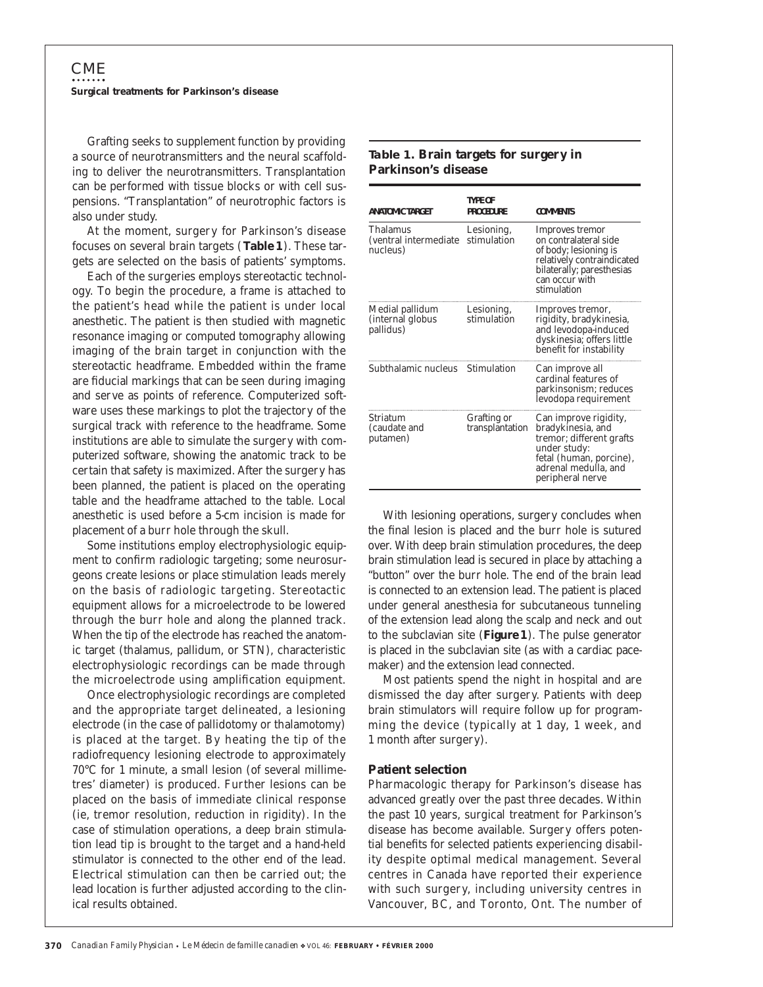## CME **Surgical treatments for Parkinson's disease**

Grafting seeks to supplement function by providing a source of neurotransmitters and the neural scaffolding to deliver the neurotransmitters. Transplantation can be performed with tissue blocks or with cell suspensions. "Transplantation" of neurotrophic factors is also under study.

At the moment, surgery for Parkinson's disease focuses on several brain targets (**Table 1**). These targets are selected on the basis of patients' symptoms.

Each of the surgeries employs stereotactic technology. To begin the procedure, a frame is attached to the patient's head while the patient is under local anesthetic. The patient is then studied with magnetic resonance imaging or computed tomography allowing imaging of the brain target in conjunction with the stereotactic headframe. Embedded within the frame are fiducial markings that can be seen during imaging and serve as points of reference. Computerized software uses these markings to plot the trajectory of the surgical track with reference to the headframe. Some institutions are able to simulate the surgery with computerized software, showing the anatomic track to be certain that safety is maximized. After the surgery has been planned, the patient is placed on the operating table and the headframe attached to the table. Local anesthetic is used before a 5-cm incision is made for placement of a burr hole through the skull.

Some institutions employ electrophysiologic equipment to confirm radiologic targeting; some neurosurgeons create lesions or place stimulation leads merely on the basis of radiologic targeting. Stereotactic equipment allows for a microelectrode to be lowered through the burr hole and along the planned track. When the tip of the electrode has reached the anatomic target (thalamus, pallidum, or STN), characteristic electrophysiologic recordings can be made through the microelectrode using amplification equipment.

Once electrophysiologic recordings are completed and the appropriate target delineated, a lesioning electrode (in the case of pallidotomy or thalamotomy) is placed at the target. By heating the tip of the radiofrequency lesioning electrode to approximately 70°C for 1 minute, a small lesion (of several millimetres' diameter) is produced. Further lesions can be placed on the basis of immediate clinical response (ie, tremor resolution, reduction in rigidity). In the case of stimulation operations, a deep brain stimulation lead tip is brought to the target and a hand-held stimulator is connected to the other end of the lead. Electrical stimulation can then be carried out; the lead location is further adjusted according to the clinical results obtained.

### **Table 1. Brain targets for surgery in Parkinson's disease**

| <b>ANATOMIC TARGET</b>                           | <b>TYPE OF</b><br><b>PROCEDURE</b> | <b>COMMENTS</b>                                                                                                                                               |
|--------------------------------------------------|------------------------------------|---------------------------------------------------------------------------------------------------------------------------------------------------------------|
| Thalamus<br>(ventral intermediate<br>nucleus)    | Lesioning,<br>stimulation          | Improves tremor<br>on contralateral side<br>of body; lesioning is<br>relatively contraindicated<br>bilaterally; paresthesias<br>can occur with<br>stimulation |
| Medial pallidum<br>(internal globus<br>pallidus) | Lesioning.<br>stimulation          | Improves tremor,<br>rigidity, bradykinesia,<br>and levodopa-induced<br>dyskinesia; offers little<br>benefit for instability                                   |
| Subthalamic nucleus Stimulation                  |                                    | Can improve all<br>cardinal features of<br>parkinsonism; reduces<br>levodopa requirement                                                                      |
| Striatum<br>(caudate and<br>putamen)             | Grafting or<br>transplantation     | Can improve rigidity,<br>bradykinesia, and<br>tremor; different grafts<br>under study:<br>fetal (human, porcine),<br>adrenal medulla, and<br>peripheral nerve |

With lesioning operations, surgery concludes when the final lesion is placed and the burr hole is sutured over. With deep brain stimulation procedures, the deep brain stimulation lead is secured in place by attaching a "button" over the burr hole. The end of the brain lead is connected to an extension lead. The patient is placed under general anesthesia for subcutaneous tunneling of the extension lead along the scalp and neck and out to the subclavian site (**Figure1**). The pulse generator is placed in the subclavian site (as with a cardiac pacemaker) and the extension lead connected.

Most patients spend the night in hospital and are dismissed the day after surgery. Patients with deep brain stimulators will require follow up for programming the device (typically at 1 day, 1 week, and 1 month after surgery).

#### **Patient selection**

Pharmacologic therapy for Parkinson's disease has advanced greatly over the past three decades. Within the past 10 years, surgical treatment for Parkinson's disease has become available. Surgery offers potential benefits for selected patients experiencing disability despite optimal medical management. Several centres in Canada have reported their experience with such surgery, including university centres in Vancouver, BC, and Toronto, Ont. The number of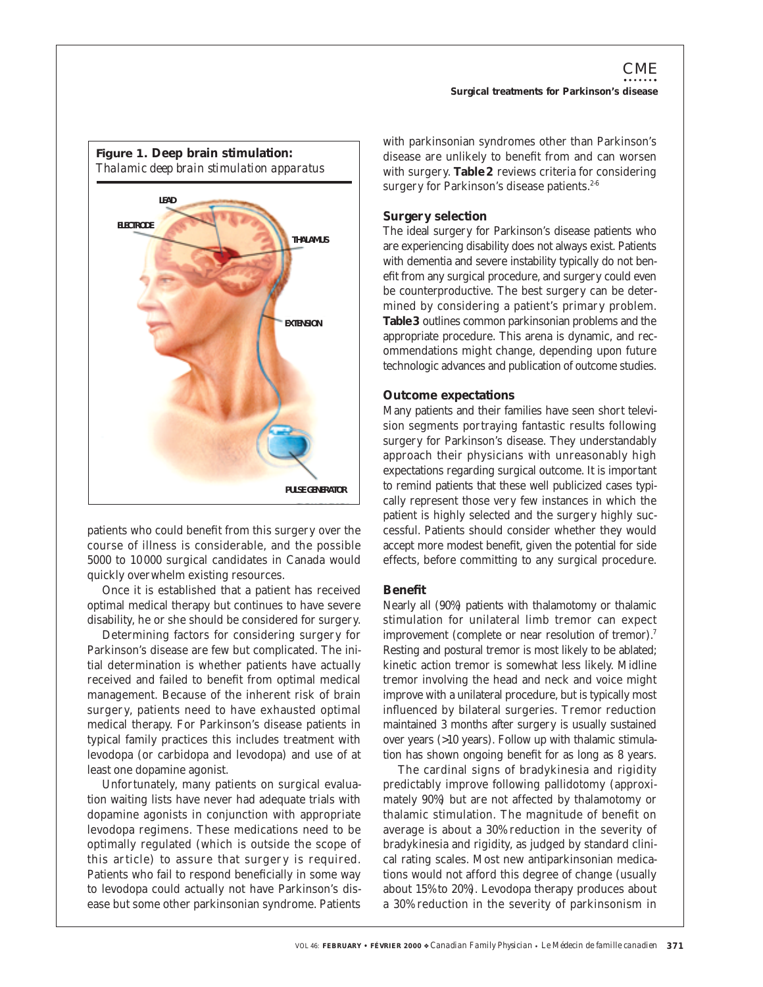

patients who could benefit from this surgery over the course of illness is considerable, and the possible 5000 to 10 000 surgical candidates in Canada would quickly overwhelm existing resources.

Once it is established that a patient has received optimal medical therapy but continues to have severe disability, he or she should be considered for surgery.

Determining factors for considering surgery for Parkinson's disease are few but complicated. The initial determination is whether patients have actually received and failed to benefit from optimal medical management. Because of the inherent risk of brain surgery, patients need to have exhausted optimal medical therapy. For Parkinson's disease patients in typical family practices this includes treatment with levodopa (or carbidopa and levodopa) and use of at least one dopamine agonist.

Unfortunately, many patients on surgical evaluation waiting lists have never had adequate trials with dopamine agonists in conjunction with appropriate levodopa regimens. These medications need to be optimally regulated (which is outside the scope of this article) to assure that surgery is required. Patients who fail to respond beneficially in some way to levodopa could actually not have Parkinson's disease but some other parkinsonian syndrome. Patients

with parkinsonian syndromes other than Parkinson's disease are unlikely to benefit from and can worsen with surgery. **Table 2** reviews criteria for considering surgery for Parkinson's disease patients. $2-6$ 

### **Surgery selection**

The ideal surgery for Parkinson's disease patients who are experiencing disability does not always exist. Patients with dementia and severe instability typically do not benefit from any surgical procedure, and surgery could even be counterproductive. The best surgery can be determined by considering a patient's primary problem. **Table3** outlines common parkinsonian problems and the appropriate procedure. This arena is dynamic, and recommendations might change, depending upon future technologic advances and publication of outcome studies.

#### **Outcome expectations**

Many patients and their families have seen short television segments portraying fantastic results following surgery for Parkinson's disease. They understandably approach their physicians with unreasonably high expectations regarding surgical outcome. It is important to remind patients that these well publicized cases typically represent those very few instances in which the patient is highly selected and the surgery highly successful. Patients should consider whether they would accept more modest benefit, given the potential for side effects, before committing to any surgical procedure.

### **Benefit**

Nearly all (90%) patients with thalamotomy or thalamic stimulation for unilateral limb tremor can expect improvement (complete or near resolution of tremor).<sup>7</sup> Resting and postural tremor is most likely to be ablated; kinetic action tremor is somewhat less likely. Midline tremor involving the head and neck and voice might improve with a unilateral procedure, but is typically most influenced by bilateral surgeries. Tremor reduction maintained 3 months after surgery is usually sustained over years (>10 years). Follow up with thalamic stimulation has shown ongoing benefit for as long as 8 years.

The cardinal signs of bradykinesia and rigidity predictably improve following pallidotomy (approximately 90%) but are not affected by thalamotomy or thalamic stimulation. The magnitude of benefit on average is about a 30% reduction in the severity of bradykinesia and rigidity, as judged by standard clinical rating scales. Most new antiparkinsonian medications would not afford this degree of change (usually about 15% to 20%). Levodopa therapy produces about a 30% reduction in the severity of parkinsonism in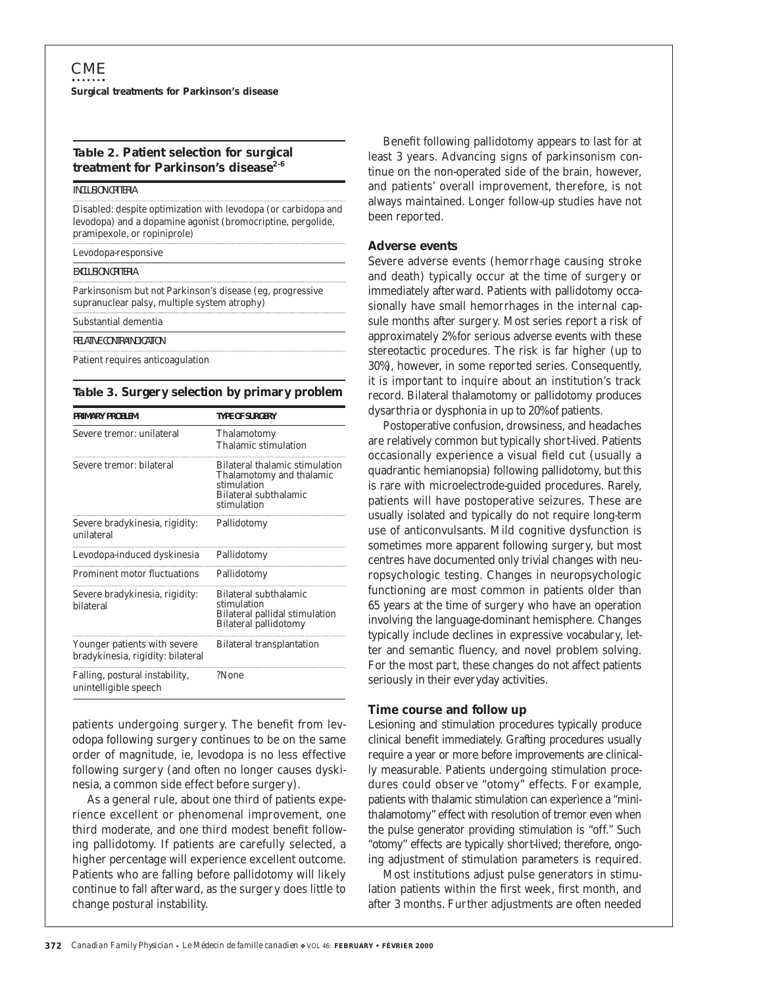## **Table 2. Patient selection for surgical treatment for Parkinson's disease2-6**

INCLUSION CRITERIA

Disabled: despite optimization with levodopa (or carbidopa and levodopa) and a dopamine agonist (bromocriptine, pergolide, pramipexole, or ropiniprole)

Levodopa-responsive

EXCLUSION CRITERIA

Parkinsonism but *not* Parkinson's disease (eg, progressive supranuclear palsy, multiple system atrophy)

Substantial dementia

RELATIVE CONTRAINDICATION

Patient requires anticoagulation

#### **Table 3. Surgery selection by primary problem**

| <b>PRIMARY PROBLEM</b>                                            | <b>TYPE OF SURGERY</b>                                                                                            |
|-------------------------------------------------------------------|-------------------------------------------------------------------------------------------------------------------|
| Severe tremor: unilateral                                         | Thalamotomy<br>Thalamic stimulation                                                                               |
| Severe tremor: bilateral                                          | Bilateral thalamic stimulation<br>Thalamotomy and thalamic<br>stimulation<br>Bilateral subthalamic<br>stimulation |
| Severe bradykinesia, rigidity:<br>unilateral                      | Pallidotomy                                                                                                       |
| Levodopa-induced dyskinesia                                       | Pallidotomy                                                                                                       |
| <b>Prominent motor fluctuations</b>                               | Pallidotomy                                                                                                       |
| Severe bradykinesia, rigidity:<br>bilateral                       | Bilateral subthalamic<br>stimulation<br><b>Bilateral pallidal stimulation</b><br>Bilateral pallidotomy            |
| Younger patients with severe<br>bradykinesia, rigidity: bilateral | <b>Bilateral transplantation</b>                                                                                  |
| Falling, postural instability,<br>unintelligible speech           | ?None                                                                                                             |

patients undergoing surgery. The benefit from levodopa following surgery continues to be on the same order of magnitude, ie, levodopa is no less effective following surgery (and often no longer causes dyskinesia, a common side effect before surgery).

As a general rule, about one third of patients experience excellent or phenomenal improvement, one third moderate, and one third modest benefit following pallidotomy. If patients are carefully selected, a higher percentage will experience excellent outcome. Patients who are falling before pallidotomy will likely continue to fall afterward, as the surgery does little to change postural instability.

Benefit following pallidotomy appears to last for at least 3 years. Advancing signs of parkinsonism continue on the non-operated side of the brain, however, and patients' overall improvement, therefore, is not always maintained. Longer follow-up studies have not been reported.

#### **Adverse events**

Severe adverse events (hemorrhage causing stroke and death) typically occur at the time of surgery or immediately afterward. Patients with pallidotomy occasionally have small hemorrhages in the internal capsule months after surgery. Most series report a risk of approximately 2% for serious adverse events with these stereotactic procedures. The risk is far higher (up to 30%), however, in some reported series. Consequently, it is important to inquire about an institution's track record. Bilateral thalamotomy or pallidotomy produces dysarthria or dysphonia in up to 20% of patients.

Postoperative confusion, drowsiness, and headaches are relatively common but typically short-lived. Patients occasionally experience a visual field cut (usually a quadrantic hemianopsia) following pallidotomy, but this is rare with microelectrode-guided procedures. Rarely, patients will have postoperative seizures. These are usually isolated and typically do not require long-term use of anticonvulsants. Mild cognitive dysfunction is sometimes more apparent following surgery, but most centres have documented only trivial changes with neuropsychologic testing. Changes in neuropsychologic functioning are most common in patients older than 65 years at the time of surgery who have an operation involving the language-dominant hemisphere. Changes typically include declines in expressive vocabulary, letter and semantic fluency, and novel problem solving. For the most part, these changes do not affect patients seriously in their everyday activities.

#### **Time course and follow up**

Lesioning and stimulation procedures typically produce clinical benefit immediately. Grafting procedures usually require a year or more before improvements are clinically measurable. Patients undergoing stimulation procedures could observe "otomy" effects. For example, patients with thalamic stimulation can experience a "minithalamotomy" effect with resolution of tremor even when the pulse generator providing stimulation is "off." Such "otomy" effects are typically short-lived; therefore, ongoing adjustment of stimulation parameters is required.

Most institutions adjust pulse generators in stimulation patients within the first week, first month, and after 3 months. Further adjustments are often needed